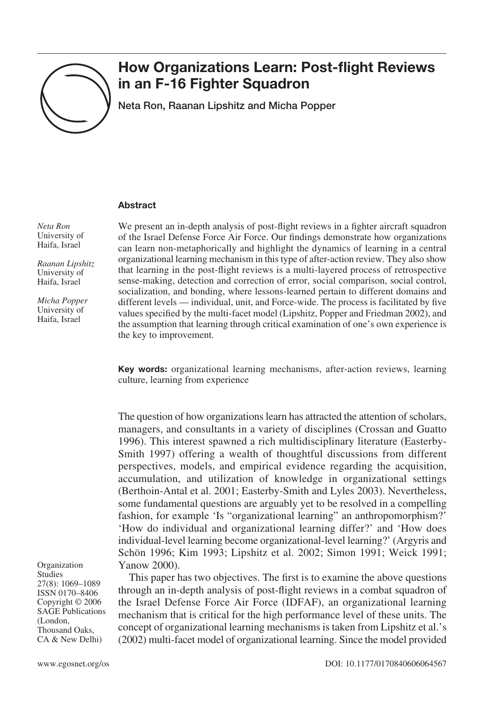

# **How Organizations Learn: Post-flight Reviews in an F-16 Fighter Squadron**

**Neta Ron, Raanan Lipshitz and Micha Popper**

## **Abstract**

*Neta Ron* University of Haifa, Israel

*Raanan Lipshitz* University of Haifa, Israel

*Micha Popper* University of Haifa, Israel

Organization **Studies** 27(8): 1069–1089 ISSN 0170–8406 Copyright © 2006 SAGE Publications (London, Thousand Oaks, CA & New Delhi)

We present an in-depth analysis of post-flight reviews in a fighter aircraft squadron of the Israel Defense Force Air Force. Our findings demonstrate how organizations can learn non-metaphorically and highlight the dynamics of learning in a central organizational learning mechanism in this type of after-action review. They also show that learning in the post-flight reviews is a multi-layered process of retrospective sense-making, detection and correction of error, social comparison, social control, socialization, and bonding, where lessons-learned pertain to different domains and different levels — individual, unit, and Force-wide. The process is facilitated by five values specified by the multi-facet model (Lipshitz, Popper and Friedman 2002), and the assumption that learning through critical examination of one's own experience is the key to improvement.

**Key words:** organizational learning mechanisms, after-action reviews, learning culture, learning from experience

The question of how organizations learn has attracted the attention of scholars, managers, and consultants in a variety of disciplines (Crossan and Guatto 1996). This interest spawned a rich multidisciplinary literature (Easterby-Smith 1997) offering a wealth of thoughtful discussions from different perspectives, models, and empirical evidence regarding the acquisition, accumulation, and utilization of knowledge in organizational settings (Berthoin-Antal et al. 2001; Easterby-Smith and Lyles 2003). Nevertheless, some fundamental questions are arguably yet to be resolved in a compelling fashion, for example 'Is "organizational learning" an anthropomorphism?' 'How do individual and organizational learning differ?' and 'How does individual-level learning become organizational-level learning?' (Argyris and Schön 1996; Kim 1993; Lipshitz et al. 2002; Simon 1991; Weick 1991; Yanow 2000).

This paper has two objectives. The first is to examine the above questions through an in-depth analysis of post-flight reviews in a combat squadron of the Israel Defense Force Air Force (IDFAF), an organizational learning mechanism that is critical for the high performance level of these units. The concept of organizational learning mechanisms is taken from Lipshitz et al.'s (2002) multi-facet model of organizational learning. Since the model provided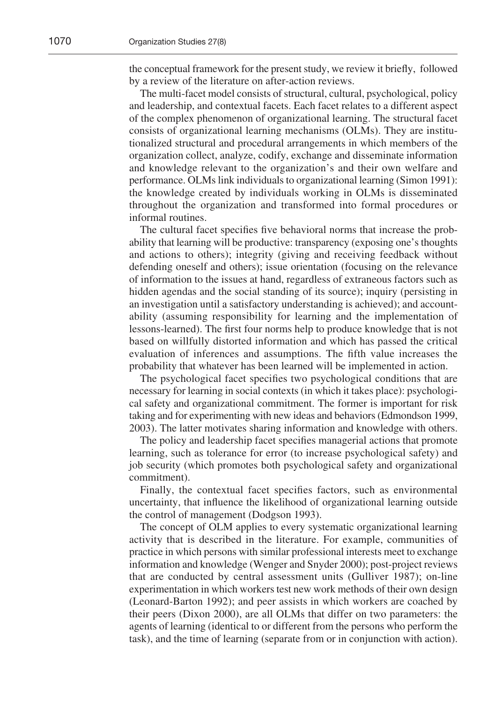the conceptual framework for the present study, we review it briefly, followed by a review of the literature on after-action reviews.

The multi-facet model consists of structural, cultural, psychological, policy and leadership, and contextual facets. Each facet relates to a different aspect of the complex phenomenon of organizational learning. The structural facet consists of organizational learning mechanisms (OLMs). They are institutionalized structural and procedural arrangements in which members of the organization collect, analyze, codify, exchange and disseminate information and knowledge relevant to the organization's and their own welfare and performance. OLMs link individuals to organizational learning (Simon 1991): the knowledge created by individuals working in OLMs is disseminated throughout the organization and transformed into formal procedures or informal routines.

The cultural facet specifies five behavioral norms that increase the probability that learning will be productive: transparency (exposing one's thoughts and actions to others); integrity (giving and receiving feedback without defending oneself and others); issue orientation (focusing on the relevance of information to the issues at hand, regardless of extraneous factors such as hidden agendas and the social standing of its source); inquiry (persisting in an investigation until a satisfactory understanding is achieved); and accountability (assuming responsibility for learning and the implementation of lessons-learned). The first four norms help to produce knowledge that is not based on willfully distorted information and which has passed the critical evaluation of inferences and assumptions. The fifth value increases the probability that whatever has been learned will be implemented in action.

The psychological facet specifies two psychological conditions that are necessary for learning in social contexts (in which it takes place): psychological safety and organizational commitment. The former is important for risk taking and for experimenting with new ideas and behaviors (Edmondson 1999, 2003). The latter motivates sharing information and knowledge with others.

The policy and leadership facet specifies managerial actions that promote learning, such as tolerance for error (to increase psychological safety) and job security (which promotes both psychological safety and organizational commitment).

Finally, the contextual facet specifies factors, such as environmental uncertainty, that influence the likelihood of organizational learning outside the control of management (Dodgson 1993).

The concept of OLM applies to every systematic organizational learning activity that is described in the literature. For example, communities of practice in which persons with similar professional interests meet to exchange information and knowledge (Wenger and Snyder 2000); post-project reviews that are conducted by central assessment units (Gulliver 1987); on-line experimentation in which workers test new work methods of their own design (Leonard-Barton 1992); and peer assists in which workers are coached by their peers (Dixon 2000), are all OLMs that differ on two parameters: the agents of learning (identical to or different from the persons who perform the task), and the time of learning (separate from or in conjunction with action).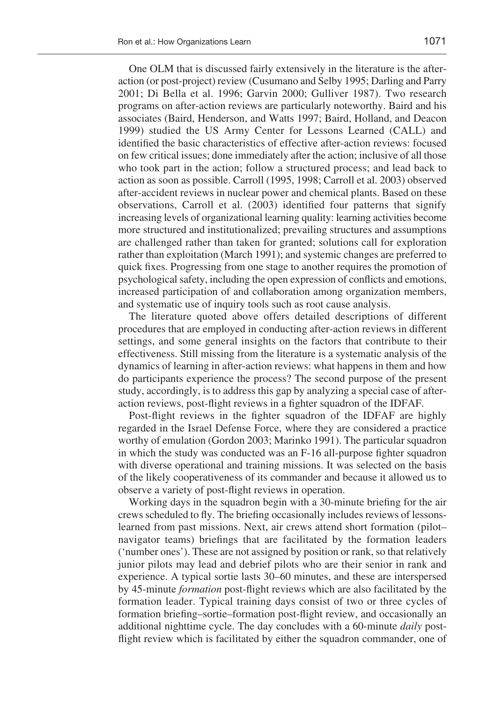One OLM that is discussed fairly extensively in the literature is the afteraction (or post-project) review (Cusumano and Selby 1995; Darling and Parry 2001; Di Bella et al. 1996; Garvin 2000; Gulliver 1987). Two research programs on after-action reviews are particularly noteworthy. Baird and his associates (Baird, Henderson, and Watts 1997; Baird, Holland, and Deacon 1999) studied the US Army Center for Lessons Learned (CALL) and identified the basic characteristics of effective after-action reviews: focused on few critical issues; done immediately after the action; inclusive of all those who took part in the action; follow a structured process; and lead back to action as soon as possible. Carroll (1995, 1998; Carroll et al. 2003) observed after-accident reviews in nuclear power and chemical plants. Based on these observations, Carroll et al. (2003) identified four patterns that signify increasing levels of organizational learning quality: learning activities become more structured and institutionalized; prevailing structures and assumptions are challenged rather than taken for granted; solutions call for exploration rather than exploitation (March 1991); and systemic changes are preferred to quick fixes. Progressing from one stage to another requires the promotion of psychological safety, including the open expression of conflicts and emotions, increased participation of and collaboration among organization members, and systematic use of inquiry tools such as root cause analysis.

The literature quoted above offers detailed descriptions of different procedures that are employed in conducting after-action reviews in different settings, and some general insights on the factors that contribute to their effectiveness. Still missing from the literature is a systematic analysis of the dynamics of learning in after-action reviews: what happens in them and how do participants experience the process? The second purpose of the present study, accordingly, is to address this gap by analyzing a special case of afteraction reviews, post-flight reviews in a fighter squadron of the IDFAF.

Post-flight reviews in the fighter squadron of the IDFAF are highly regarded in the Israel Defense Force, where they are considered a practice worthy of emulation (Gordon 2003; Marinko 1991). The particular squadron in which the study was conducted was an F-16 all-purpose fighter squadron with diverse operational and training missions. It was selected on the basis of the likely cooperativeness of its commander and because it allowed us to observe a variety of post-flight reviews in operation.

Working days in the squadron begin with a 30-minute briefing for the air crews scheduled to fly. The briefing occasionally includes reviews of lessonslearned from past missions. Next, air crews attend short formation (pilot– navigator teams) briefings that are facilitated by the formation leaders ('number ones'). These are not assigned by position or rank, so that relatively junior pilots may lead and debrief pilots who are their senior in rank and experience. A typical sortie lasts 30–60 minutes, and these are interspersed by 45-minute *formation* post-flight reviews which are also facilitated by the formation leader. Typical training days consist of two or three cycles of formation briefing–sortie–formation post-flight review, and occasionally an additional nighttime cycle. The day concludes with a 60-minute *daily* postflight review which is facilitated by either the squadron commander, one of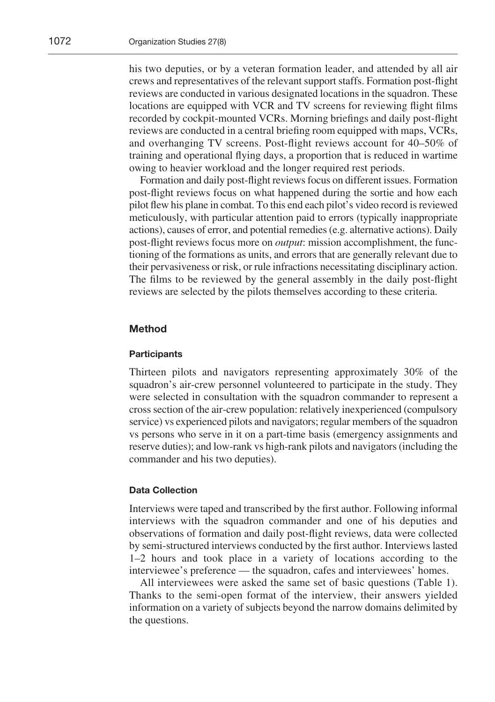his two deputies, or by a veteran formation leader, and attended by all air crews and representatives of the relevant support staffs. Formation post-flight reviews are conducted in various designated locations in the squadron. These locations are equipped with VCR and TV screens for reviewing flight films recorded by cockpit-mounted VCRs. Morning briefings and daily post-flight reviews are conducted in a central briefing room equipped with maps, VCRs, and overhanging TV screens. Post-flight reviews account for 40–50% of training and operational flying days, a proportion that is reduced in wartime owing to heavier workload and the longer required rest periods.

Formation and daily post-flight reviews focus on different issues. Formation post-flight reviews focus on what happened during the sortie and how each pilot flew his plane in combat. To this end each pilot's video record is reviewed meticulously, with particular attention paid to errors (typically inappropriate actions), causes of error, and potential remedies (e.g. alternative actions). Daily post-flight reviews focus more on *output*: mission accomplishment, the functioning of the formations as units, and errors that are generally relevant due to their pervasiveness or risk, or rule infractions necessitating disciplinary action. The films to be reviewed by the general assembly in the daily post-flight reviews are selected by the pilots themselves according to these criteria.

### **Method**

#### **Participants**

Thirteen pilots and navigators representing approximately 30% of the squadron's air-crew personnel volunteered to participate in the study. They were selected in consultation with the squadron commander to represent a cross section of the air-crew population: relatively inexperienced (compulsory service) vs experienced pilots and navigators; regular members of the squadron vs persons who serve in it on a part-time basis (emergency assignments and reserve duties); and low-rank vs high-rank pilots and navigators (including the commander and his two deputies).

#### **Data Collection**

Interviews were taped and transcribed by the first author. Following informal interviews with the squadron commander and one of his deputies and observations of formation and daily post-flight reviews, data were collected by semi-structured interviews conducted by the first author. Interviews lasted 1–2 hours and took place in a variety of locations according to the interviewee's preference — the squadron, cafes and interviewees' homes.

All interviewees were asked the same set of basic questions (Table 1). Thanks to the semi-open format of the interview, their answers yielded information on a variety of subjects beyond the narrow domains delimited by the questions.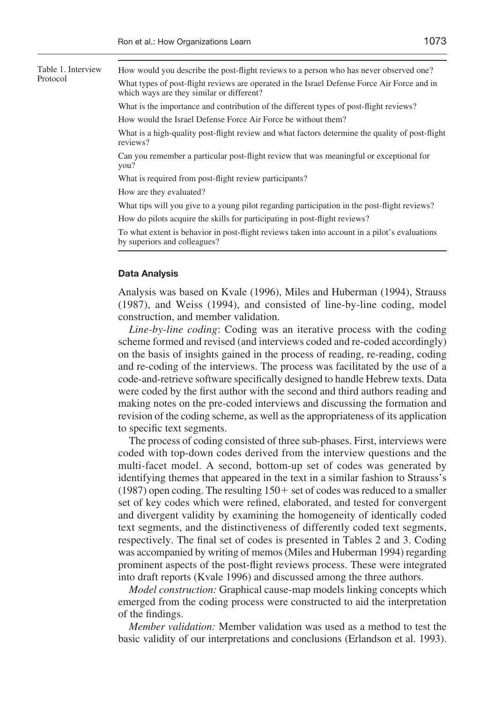How would you describe the post-flight reviews to a person who has never observed one? What types of post-flight reviews are operated in the Israel Defense Force Air Force and in which ways are they similar or different? What is the importance and contribution of the different types of post-flight reviews? How would the Israel Defense Force Air Force be without them? What is a high-quality post-flight review and what factors determine the quality of post-flight reviews? Can you remember a particular post-flight review that was meaningful or exceptional for you? What is required from post-flight review participants? How are they evaluated? What tips will you give to a young pilot regarding participation in the post-flight reviews? How do pilots acquire the skills for participating in post-flight reviews? To what extent is behavior in post-flight reviews taken into account in a pilot's evaluations by superiors and colleagues? Table 1. Interview Protocol

#### **Data Analysis**

Analysis was based on Kvale (1996), Miles and Huberman (1994), Strauss (1987), and Weiss (1994), and consisted of line-by-line coding, model construction, and member validation.

*Line-by-line coding*: Coding was an iterative process with the coding scheme formed and revised (and interviews coded and re-coded accordingly) on the basis of insights gained in the process of reading, re-reading, coding and re-coding of the interviews. The process was facilitated by the use of a code-and-retrieve software specifically designed to handle Hebrew texts. Data were coded by the first author with the second and third authors reading and making notes on the pre-coded interviews and discussing the formation and revision of the coding scheme, as well as the appropriateness of its application to specific text segments.

The process of coding consisted of three sub-phases. First, interviews were coded with top-down codes derived from the interview questions and the multi-facet model. A second, bottom-up set of codes was generated by identifying themes that appeared in the text in a similar fashion to Strauss's (1987) open coding. The resulting  $150+$  set of codes was reduced to a smaller set of key codes which were refined, elaborated, and tested for convergent and divergent validity by examining the homogeneity of identically coded text segments, and the distinctiveness of differently coded text segments, respectively. The final set of codes is presented in Tables 2 and 3. Coding was accompanied by writing of memos (Miles and Huberman 1994) regarding prominent aspects of the post-flight reviews process. These were integrated into draft reports (Kvale 1996) and discussed among the three authors.

*Model construction:* Graphical cause-map models linking concepts which emerged from the coding process were constructed to aid the interpretation of the findings.

*Member validation:* Member validation was used as a method to test the basic validity of our interpretations and conclusions (Erlandson et al. 1993).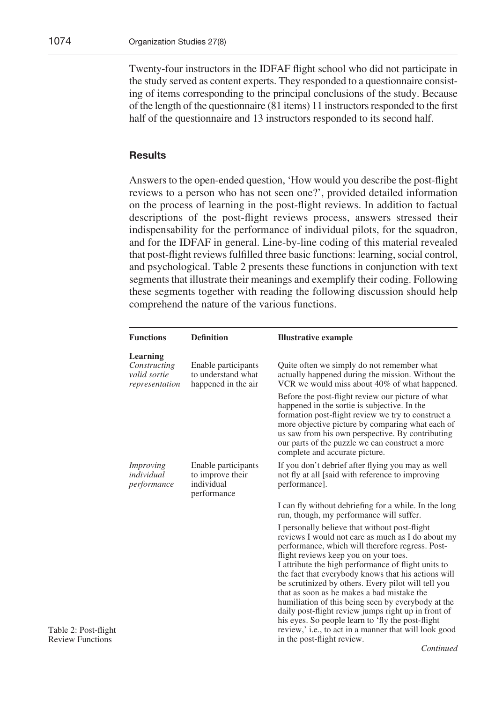Twenty-four instructors in the IDFAF flight school who did not participate in the study served as content experts. They responded to a questionnaire consisting of items corresponding to the principal conclusions of the study. Because of the length of the questionnaire (81 items) 11 instructors responded to the first half of the questionnaire and 13 instructors responded to its second half.

## **Results**

Answers to the open-ended question, 'How would you describe the post-flight reviews to a person who has not seen one?', provided detailed information on the process of learning in the post-flight reviews. In addition to factual descriptions of the post-flight reviews process, answers stressed their indispensability for the performance of individual pilots, for the squadron, and for the IDFAF in general. Line-by-line coding of this material revealed that post-flight reviews fulfilled three basic functions: learning, social control, and psychological. Table 2 presents these functions in conjunction with text segments that illustrate their meanings and exemplify their coding. Following these segments together with reading the following discussion should help comprehend the nature of the various functions.

| <b>Functions</b>                                           | <b>Definition</b>                                                    | <b>Illustrative example</b>                                                                                                                                                                                                                                                                                                                                                                                                                                                                                                                                                                                                                                                 |
|------------------------------------------------------------|----------------------------------------------------------------------|-----------------------------------------------------------------------------------------------------------------------------------------------------------------------------------------------------------------------------------------------------------------------------------------------------------------------------------------------------------------------------------------------------------------------------------------------------------------------------------------------------------------------------------------------------------------------------------------------------------------------------------------------------------------------------|
| Learning<br>Constructing<br>valid sortie<br>representation | Enable participants<br>to understand what<br>happened in the air     | Quite often we simply do not remember what<br>actually happened during the mission. Without the<br>VCR we would miss about 40% of what happened.                                                                                                                                                                                                                                                                                                                                                                                                                                                                                                                            |
|                                                            |                                                                      | Before the post-flight review our picture of what<br>happened in the sortie is subjective. In the<br>formation post-flight review we try to construct a<br>more objective picture by comparing what each of<br>us saw from his own perspective. By contributing<br>our parts of the puzzle we can construct a more<br>complete and accurate picture.                                                                                                                                                                                                                                                                                                                        |
| Improving<br>individual<br>performance                     | Enable participants<br>to improve their<br>individual<br>performance | If you don't debrief after flying you may as well<br>not fly at all [said with reference to improving<br>performance].                                                                                                                                                                                                                                                                                                                                                                                                                                                                                                                                                      |
|                                                            |                                                                      | I can fly without debriefing for a while. In the long<br>run, though, my performance will suffer.                                                                                                                                                                                                                                                                                                                                                                                                                                                                                                                                                                           |
|                                                            |                                                                      | I personally believe that without post-flight<br>reviews I would not care as much as I do about my<br>performance, which will therefore regress. Post-<br>flight reviews keep you on your toes.<br>I attribute the high performance of flight units to<br>the fact that everybody knows that his actions will<br>be scrutinized by others. Every pilot will tell you<br>that as soon as he makes a bad mistake the<br>humiliation of this being seen by everybody at the<br>daily post-flight review jumps right up in front of<br>his eyes. So people learn to 'fly the post-flight<br>review,' i.e., to act in a manner that will look good<br>in the post-flight review. |

Table 2: Post-flight Review Functions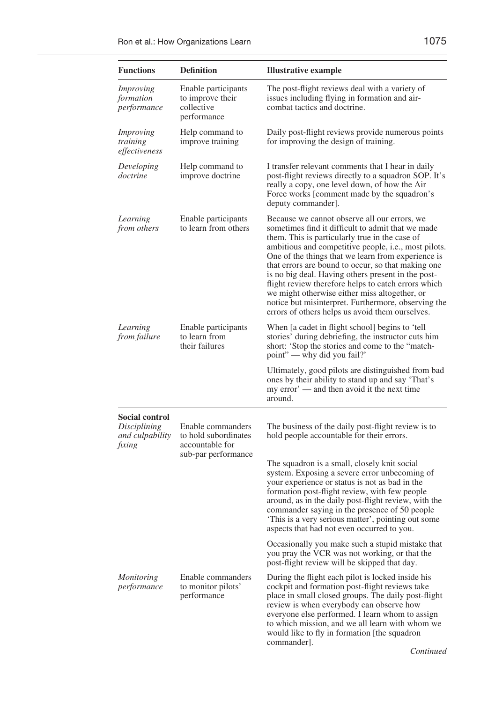| <b>Functions</b>                                            | <b>Definition</b>                                                    | <b>Illustrative example</b>                                                                                                                                                                                                                                                                                                                                                                                                                                                                                                                                                                             |
|-------------------------------------------------------------|----------------------------------------------------------------------|---------------------------------------------------------------------------------------------------------------------------------------------------------------------------------------------------------------------------------------------------------------------------------------------------------------------------------------------------------------------------------------------------------------------------------------------------------------------------------------------------------------------------------------------------------------------------------------------------------|
| Improving<br>formation<br>performance                       | Enable participants<br>to improve their<br>collective<br>performance | The post-flight reviews deal with a variety of<br>issues including flying in formation and air-<br>combat tactics and doctrine.                                                                                                                                                                                                                                                                                                                                                                                                                                                                         |
| Improving<br>training<br>effectiveness                      | Help command to<br>improve training                                  | Daily post-flight reviews provide numerous points<br>for improving the design of training.                                                                                                                                                                                                                                                                                                                                                                                                                                                                                                              |
| Developing<br>doctrine                                      | Help command to<br>improve doctrine                                  | I transfer relevant comments that I hear in daily<br>post-flight reviews directly to a squadron SOP. It's<br>really a copy, one level down, of how the Air<br>Force works [comment made by the squadron's<br>deputy commander.                                                                                                                                                                                                                                                                                                                                                                          |
| Learning<br>from others                                     | Enable participants<br>to learn from others                          | Because we cannot observe all our errors, we<br>sometimes find it difficult to admit that we made<br>them. This is particularly true in the case of<br>ambitious and competitive people, <i>i.e.</i> , most pilots.<br>One of the things that we learn from experience is<br>that errors are bound to occur, so that making one<br>is no big deal. Having others present in the post-<br>flight review therefore helps to catch errors which<br>we might otherwise either miss altogether, or<br>notice but misinterpret. Furthermore, observing the<br>errors of others helps us avoid them ourselves. |
| Learning<br>from failure                                    | Enable participants<br>to learn from<br>their failures               | When [a cadet in flight school] begins to 'tell<br>stories' during debriefing, the instructor cuts him<br>short: 'Stop the stories and come to the "match-<br>point" — why did you fail?"                                                                                                                                                                                                                                                                                                                                                                                                               |
|                                                             |                                                                      | Ultimately, good pilots are distinguished from bad<br>ones by their ability to stand up and say 'That's<br>my error' — and then avoid it the next time<br>around.                                                                                                                                                                                                                                                                                                                                                                                                                                       |
| Social control<br>Disciplining<br>and culpability<br>fixing | Enable commanders<br>to hold subordinates<br>accountable for         | The business of the daily post-flight review is to<br>hold people accountable for their errors.                                                                                                                                                                                                                                                                                                                                                                                                                                                                                                         |
|                                                             | sub-par performance                                                  | The squadron is a small, closely knit social<br>system. Exposing a severe error unbecoming of<br>your experience or status is not as bad in the<br>formation post-flight review, with few people<br>around, as in the daily post-flight review, with the<br>commander saying in the presence of 50 people<br>'This is a very serious matter', pointing out some<br>aspects that had not even occurred to you.                                                                                                                                                                                           |
|                                                             |                                                                      | Occasionally you make such a stupid mistake that<br>you pray the VCR was not working, or that the<br>post-flight review will be skipped that day.                                                                                                                                                                                                                                                                                                                                                                                                                                                       |
| <i>Monitoring</i><br>performance                            | Enable commanders<br>to monitor pilots'<br>performance               | During the flight each pilot is locked inside his<br>cockpit and formation post-flight reviews take<br>place in small closed groups. The daily post-flight<br>review is when everybody can observe how<br>everyone else performed. I learn whom to assign<br>to which mission, and we all learn with whom we<br>would like to fly in formation [the squadron<br>commander].                                                                                                                                                                                                                             |

*Continued*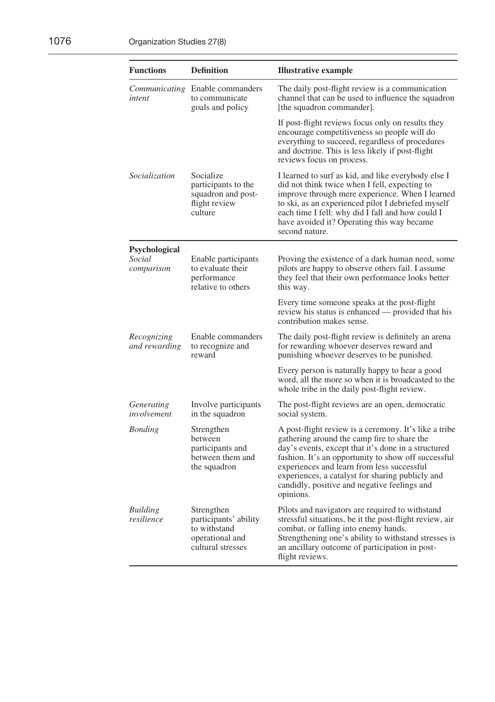| <b>Functions</b>             | <b>Definition</b>                                                                           | <b>Illustrative example</b>                                                                                                                                                                                                                                                                                                                                                       |
|------------------------------|---------------------------------------------------------------------------------------------|-----------------------------------------------------------------------------------------------------------------------------------------------------------------------------------------------------------------------------------------------------------------------------------------------------------------------------------------------------------------------------------|
| intent                       | <i>Communicating</i> Enable commanders<br>to communicate<br>goals and policy                | The daily post-flight review is a communication<br>channel that can be used to influence the squadron<br>[the squadron commander].                                                                                                                                                                                                                                                |
|                              |                                                                                             | If post-flight reviews focus only on results they<br>encourage competitiveness so people will do<br>everything to succeed, regardless of procedures<br>and doctrine. This is less likely if post-flight<br>reviews focus on process.                                                                                                                                              |
| Socialization                | Socialize<br>participants to the<br>squadron and post-<br>flight review<br>culture          | I learned to surf as kid, and like everybody else I<br>did not think twice when I fell, expecting to<br>improve through mere experience. When I learned<br>to ski, as an experienced pilot I debriefed myself<br>each time I fell: why did I fall and how could I<br>have avoided it? Operating this way became<br>second nature.                                                 |
| Psychological<br>Social      |                                                                                             |                                                                                                                                                                                                                                                                                                                                                                                   |
| comparison                   | Enable participants<br>to evaluate their<br>performance<br>relative to others               | Proving the existence of a dark human need, some<br>pilots are happy to observe others fail. I assume<br>they feel that their own performance looks better<br>this way.                                                                                                                                                                                                           |
|                              |                                                                                             | Every time someone speaks at the post-flight<br>review his status is enhanced — provided that his<br>contribution makes sense.                                                                                                                                                                                                                                                    |
| Recognizing<br>and rewarding | Enable commanders<br>to recognize and<br>reward                                             | The daily post-flight review is definitely an arena<br>for rewarding whoever deserves reward and<br>punishing whoever deserves to be punished.                                                                                                                                                                                                                                    |
|                              |                                                                                             | Every person is naturally happy to hear a good<br>word, all the more so when it is broadcasted to the<br>whole tribe in the daily post-flight review.                                                                                                                                                                                                                             |
| Generating<br>involvement    | Involve participants<br>in the squadron                                                     | The post-flight reviews are an open, democratic<br>social system.                                                                                                                                                                                                                                                                                                                 |
| <b>Bonding</b>               | Strengthen<br>between<br>participants and<br>between them and<br>the squadron               | A post-flight review is a ceremony. It's like a tribe<br>gathering around the camp fire to share the<br>day's events, except that it's done in a structured<br>fashion. It's an opportunity to show off successful<br>experiences and learn from less successful<br>experiences, a catalyst for sharing publicly and<br>candidly, positive and negative feelings and<br>opinions. |
| Building<br>resilience       | Strengthen<br>participants' ability<br>to withstand<br>operational and<br>cultural stresses | Pilots and navigators are required to withstand<br>stressful situations, be it the post-flight review, air<br>combat, or falling into enemy hands.<br>Strengthening one's ability to withstand stresses is<br>an ancillary outcome of participation in post-<br>flight reviews.                                                                                                   |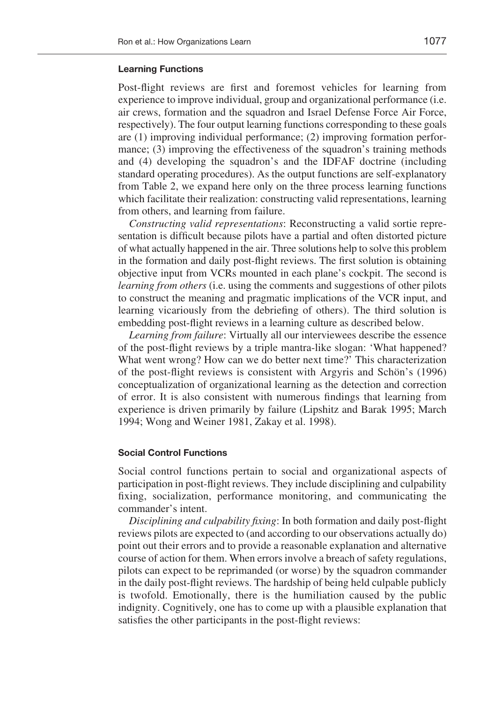## **Learning Functions**

Post-flight reviews are first and foremost vehicles for learning from experience to improve individual, group and organizational performance (i.e. air crews, formation and the squadron and Israel Defense Force Air Force, respectively). The four output learning functions corresponding to these goals are (1) improving individual performance; (2) improving formation performance; (3) improving the effectiveness of the squadron's training methods and (4) developing the squadron's and the IDFAF doctrine (including standard operating procedures). As the output functions are self-explanatory from Table 2, we expand here only on the three process learning functions which facilitate their realization: constructing valid representations, learning from others, and learning from failure.

*Constructing valid representations*: Reconstructing a valid sortie representation is difficult because pilots have a partial and often distorted picture of what actually happened in the air. Three solutions help to solve this problem in the formation and daily post-flight reviews. The first solution is obtaining objective input from VCRs mounted in each plane's cockpit. The second is *learning from others* (i.e. using the comments and suggestions of other pilots to construct the meaning and pragmatic implications of the VCR input, and learning vicariously from the debriefing of others). The third solution is embedding post-flight reviews in a learning culture as described below.

*Learning from failure*: Virtually all our interviewees describe the essence of the post-flight reviews by a triple mantra-like slogan: 'What happened? What went wrong? How can we do better next time?' This characterization of the post-flight reviews is consistent with Argyris and Schön's (1996) conceptualization of organizational learning as the detection and correction of error. It is also consistent with numerous findings that learning from experience is driven primarily by failure (Lipshitz and Barak 1995; March 1994; Wong and Weiner 1981, Zakay et al. 1998).

#### **Social Control Functions**

Social control functions pertain to social and organizational aspects of participation in post-flight reviews. They include disciplining and culpability fixing, socialization, performance monitoring, and communicating the commander's intent.

*Disciplining and culpability fixing*: In both formation and daily post-flight reviews pilots are expected to (and according to our observations actually do) point out their errors and to provide a reasonable explanation and alternative course of action for them. When errors involve a breach of safety regulations, pilots can expect to be reprimanded (or worse) by the squadron commander in the daily post-flight reviews. The hardship of being held culpable publicly is twofold. Emotionally, there is the humiliation caused by the public indignity. Cognitively, one has to come up with a plausible explanation that satisfies the other participants in the post-flight reviews: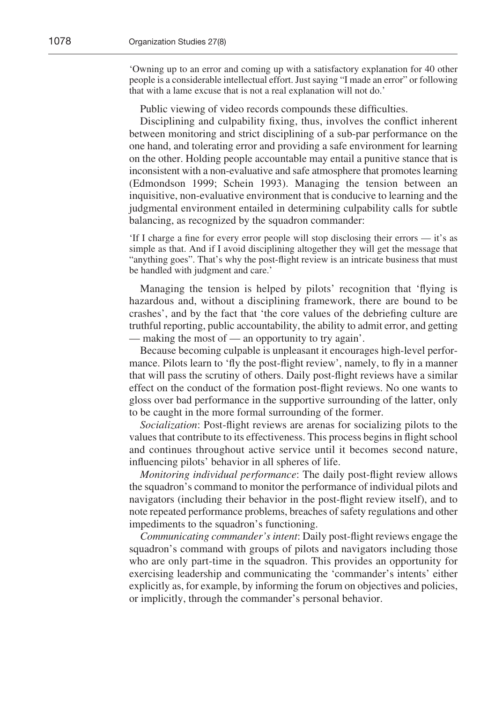'Owning up to an error and coming up with a satisfactory explanation for 40 other people is a considerable intellectual effort. Just saying "I made an error" or following that with a lame excuse that is not a real explanation will not do.'

Public viewing of video records compounds these difficulties.

Disciplining and culpability fixing, thus, involves the conflict inherent between monitoring and strict disciplining of a sub-par performance on the one hand, and tolerating error and providing a safe environment for learning on the other. Holding people accountable may entail a punitive stance that is inconsistent with a non-evaluative and safe atmosphere that promotes learning (Edmondson 1999; Schein 1993). Managing the tension between an inquisitive, non-evaluative environment that is conducive to learning and the judgmental environment entailed in determining culpability calls for subtle balancing, as recognized by the squadron commander:

'If I charge a fine for every error people will stop disclosing their errors — it's as simple as that. And if I avoid disciplining altogether they will get the message that "anything goes". That's why the post-flight review is an intricate business that must be handled with judgment and care.'

Managing the tension is helped by pilots' recognition that 'flying is hazardous and, without a disciplining framework, there are bound to be crashes', and by the fact that 'the core values of the debriefing culture are truthful reporting, public accountability, the ability to admit error, and getting — making the most of — an opportunity to try again'.

Because becoming culpable is unpleasant it encourages high-level performance. Pilots learn to 'fly the post-flight review', namely, to fly in a manner that will pass the scrutiny of others. Daily post-flight reviews have a similar effect on the conduct of the formation post-flight reviews. No one wants to gloss over bad performance in the supportive surrounding of the latter, only to be caught in the more formal surrounding of the former.

*Socialization*: Post-flight reviews are arenas for socializing pilots to the values that contribute to its effectiveness. This process begins in flight school and continues throughout active service until it becomes second nature, influencing pilots' behavior in all spheres of life.

*Monitoring individual performance*: The daily post-flight review allows the squadron's command to monitor the performance of individual pilots and navigators (including their behavior in the post-flight review itself), and to note repeated performance problems, breaches of safety regulations and other impediments to the squadron's functioning.

*Communicating commander's intent*: Daily post-flight reviews engage the squadron's command with groups of pilots and navigators including those who are only part-time in the squadron. This provides an opportunity for exercising leadership and communicating the 'commander's intents' either explicitly as, for example, by informing the forum on objectives and policies, or implicitly, through the commander's personal behavior.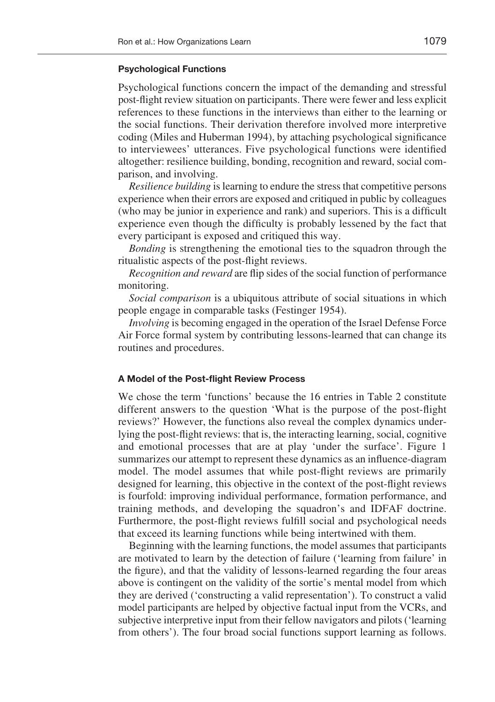## **Psychological Functions**

Psychological functions concern the impact of the demanding and stressful post-flight review situation on participants. There were fewer and less explicit references to these functions in the interviews than either to the learning or the social functions. Their derivation therefore involved more interpretive coding (Miles and Huberman 1994), by attaching psychological significance to interviewees' utterances. Five psychological functions were identified altogether: resilience building, bonding, recognition and reward, social comparison, and involving.

*Resilience building* is learning to endure the stress that competitive persons experience when their errors are exposed and critiqued in public by colleagues (who may be junior in experience and rank) and superiors. This is a difficult experience even though the difficulty is probably lessened by the fact that every participant is exposed and critiqued this way.

*Bonding* is strengthening the emotional ties to the squadron through the ritualistic aspects of the post-flight reviews.

*Recognition and reward* are flip sides of the social function of performance monitoring.

*Social comparison* is a ubiquitous attribute of social situations in which people engage in comparable tasks (Festinger 1954).

*Involving* is becoming engaged in the operation of the Israel Defense Force Air Force formal system by contributing lessons-learned that can change its routines and procedures.

#### **A Model of the Post-flight Review Process**

We chose the term 'functions' because the 16 entries in Table 2 constitute different answers to the question 'What is the purpose of the post-flight reviews?' However, the functions also reveal the complex dynamics underlying the post-flight reviews: that is, the interacting learning, social, cognitive and emotional processes that are at play 'under the surface'. Figure 1 summarizes our attempt to represent these dynamics as an influence-diagram model. The model assumes that while post-flight reviews are primarily designed for learning, this objective in the context of the post-flight reviews is fourfold: improving individual performance, formation performance, and training methods, and developing the squadron's and IDFAF doctrine. Furthermore, the post-flight reviews fulfill social and psychological needs that exceed its learning functions while being intertwined with them.

Beginning with the learning functions, the model assumes that participants are motivated to learn by the detection of failure ('learning from failure' in the figure), and that the validity of lessons-learned regarding the four areas above is contingent on the validity of the sortie's mental model from which they are derived ('constructing a valid representation'). To construct a valid model participants are helped by objective factual input from the VCRs, and subjective interpretive input from their fellow navigators and pilots ('learning from others'). The four broad social functions support learning as follows.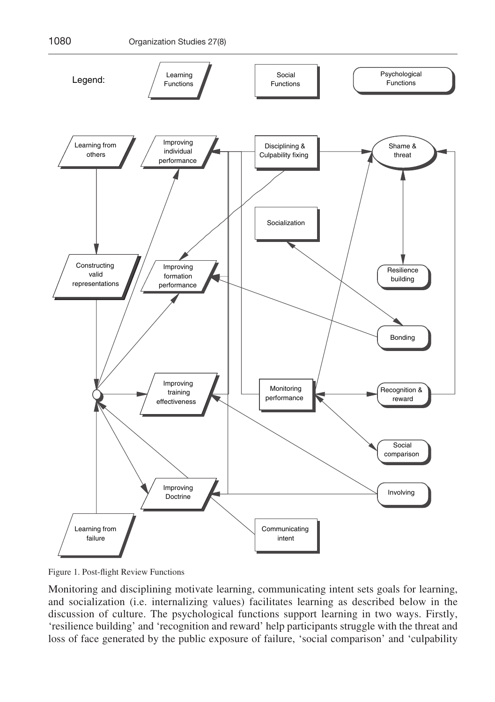

Figure 1. Post-flight Review Functions

Monitoring and disciplining motivate learning, communicating intent sets goals for learning, and socialization (i.e. internalizing values) facilitates learning as described below in the discussion of culture. The psychological functions support learning in two ways. Firstly, 'resilience building' and 'recognition and reward' help participants struggle with the threat and loss of face generated by the public exposure of failure, 'social comparison' and 'culpability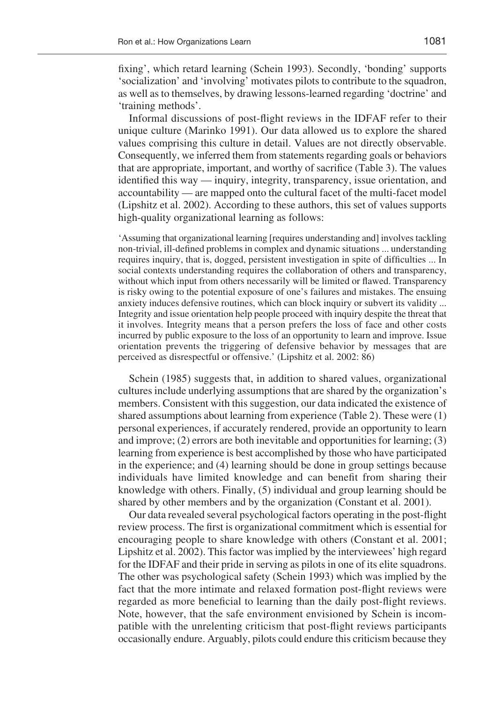fixing', which retard learning (Schein 1993). Secondly, 'bonding' supports 'socialization' and 'involving' motivates pilots to contribute to the squadron, as well as to themselves, by drawing lessons-learned regarding 'doctrine' and 'training methods'.

Informal discussions of post-flight reviews in the IDFAF refer to their unique culture (Marinko 1991). Our data allowed us to explore the shared values comprising this culture in detail. Values are not directly observable. Consequently, we inferred them from statements regarding goals or behaviors that are appropriate, important, and worthy of sacrifice (Table 3). The values identified this way — inquiry, integrity, transparency, issue orientation, and accountability — are mapped onto the cultural facet of the multi-facet model (Lipshitz et al. 2002). According to these authors, this set of values supports high-quality organizational learning as follows:

'Assuming that organizational learning [requires understanding and] involves tackling non-trivial, ill-defined problems in complex and dynamic situations ... understanding requires inquiry, that is, dogged, persistent investigation in spite of difficulties ... In social contexts understanding requires the collaboration of others and transparency, without which input from others necessarily will be limited or flawed. Transparency is risky owing to the potential exposure of one's failures and mistakes. The ensuing anxiety induces defensive routines, which can block inquiry or subvert its validity ... Integrity and issue orientation help people proceed with inquiry despite the threat that it involves. Integrity means that a person prefers the loss of face and other costs incurred by public exposure to the loss of an opportunity to learn and improve. Issue orientation prevents the triggering of defensive behavior by messages that are perceived as disrespectful or offensive.' (Lipshitz et al. 2002: 86)

Schein (1985) suggests that, in addition to shared values, organizational cultures include underlying assumptions that are shared by the organization's members. Consistent with this suggestion, our data indicated the existence of shared assumptions about learning from experience (Table 2). These were (1) personal experiences, if accurately rendered, provide an opportunity to learn and improve; (2) errors are both inevitable and opportunities for learning; (3) learning from experience is best accomplished by those who have participated in the experience; and (4) learning should be done in group settings because individuals have limited knowledge and can benefit from sharing their knowledge with others. Finally, (5) individual and group learning should be shared by other members and by the organization (Constant et al. 2001).

Our data revealed several psychological factors operating in the post-flight review process. The first is organizational commitment which is essential for encouraging people to share knowledge with others (Constant et al. 2001; Lipshitz et al. 2002). This factor was implied by the interviewees' high regard for the IDFAF and their pride in serving as pilots in one of its elite squadrons. The other was psychological safety (Schein 1993) which was implied by the fact that the more intimate and relaxed formation post-flight reviews were regarded as more beneficial to learning than the daily post-flight reviews. Note, however, that the safe environment envisioned by Schein is incompatible with the unrelenting criticism that post-flight reviews participants occasionally endure. Arguably, pilots could endure this criticism because they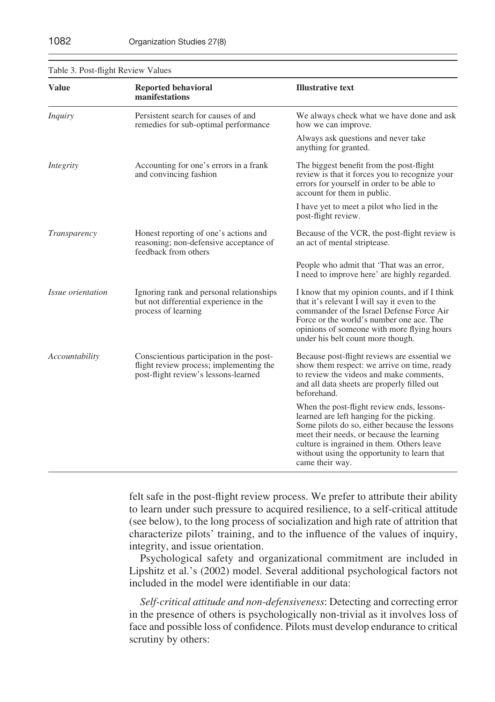| <b>Value</b>             | <b>Reported behavioral</b>                                                                                                  | <b>Illustrative text</b>                                                                                                                                                                                                                                                                              |
|--------------------------|-----------------------------------------------------------------------------------------------------------------------------|-------------------------------------------------------------------------------------------------------------------------------------------------------------------------------------------------------------------------------------------------------------------------------------------------------|
|                          | manifestations                                                                                                              |                                                                                                                                                                                                                                                                                                       |
| <i>Inquiry</i>           | Persistent search for causes of and<br>remedies for sub-optimal performance                                                 | We always check what we have done and ask<br>how we can improve.                                                                                                                                                                                                                                      |
|                          |                                                                                                                             | Always ask questions and never take<br>anything for granted.                                                                                                                                                                                                                                          |
| Integrity                | Accounting for one's errors in a frank<br>and convincing fashion                                                            | The biggest benefit from the post-flight<br>review is that it forces you to recognize your<br>errors for yourself in order to be able to<br>account for them in public.                                                                                                                               |
|                          |                                                                                                                             | I have yet to meet a pilot who lied in the<br>post-flight review.                                                                                                                                                                                                                                     |
| Transparency             | Honest reporting of one's actions and<br>reasoning; non-defensive acceptance of<br>feedback from others                     | Because of the VCR, the post-flight review is<br>an act of mental striptease.                                                                                                                                                                                                                         |
|                          |                                                                                                                             | People who admit that 'That was an error,<br>I need to improve here' are highly regarded.                                                                                                                                                                                                             |
| <i>Issue orientation</i> | Ignoring rank and personal relationships<br>but not differential experience in the<br>process of learning                   | I know that my opinion counts, and if I think<br>that it's relevant I will say it even to the<br>commander of the Israel Defense Force Air<br>Force or the world's number one ace. The<br>opinions of someone with more flying hours<br>under his belt count more though.                             |
| Accountability           | Conscientious participation in the post-<br>flight review process; implementing the<br>post-flight review's lessons-learned | Because post-flight reviews are essential we<br>show them respect: we arrive on time, ready<br>to review the videos and make comments,<br>and all data sheets are properly filled out<br>beforehand.                                                                                                  |
|                          |                                                                                                                             | When the post-flight review ends, lessons-<br>learned are left hanging for the picking.<br>Some pilots do so, either because the lessons<br>meet their needs, or because the learning<br>culture is ingrained in them. Others leave<br>without using the opportunity to learn that<br>came their way. |

## Table 3. Post-flight Review Values

felt safe in the post-flight review process. We prefer to attribute their ability to learn under such pressure to acquired resilience, to a self-critical attitude (see below), to the long process of socialization and high rate of attrition that characterize pilots' training, and to the influence of the values of inquiry, integrity, and issue orientation.

Psychological safety and organizational commitment are included in Lipshitz et al.'s (2002) model. Several additional psychological factors not included in the model were identifiable in our data:

*Self-critical attitude and non-defensiveness*: Detecting and correcting error in the presence of others is psychologically non-trivial as it involves loss of face and possible loss of confidence. Pilots must develop endurance to critical scrutiny by others: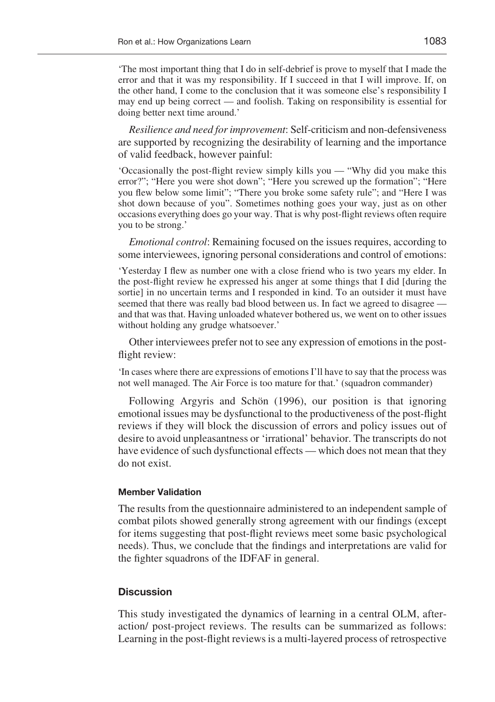'The most important thing that I do in self-debrief is prove to myself that I made the error and that it was my responsibility. If I succeed in that I will improve. If, on the other hand, I come to the conclusion that it was someone else's responsibility I may end up being correct — and foolish. Taking on responsibility is essential for doing better next time around.'

*Resilience and need for improvement*: Self-criticism and non-defensiveness are supported by recognizing the desirability of learning and the importance of valid feedback, however painful:

'Occasionally the post-flight review simply kills you — "Why did you make this error?"; "Here you were shot down"; "Here you screwed up the formation"; "Here you flew below some limit"; "There you broke some safety rule"; and "Here I was shot down because of you". Sometimes nothing goes your way, just as on other occasions everything does go your way. That is why post-flight reviews often require you to be strong.'

*Emotional control*: Remaining focused on the issues requires, according to some interviewees, ignoring personal considerations and control of emotions:

'Yesterday I flew as number one with a close friend who is two years my elder. In the post-flight review he expressed his anger at some things that I did [during the sortie] in no uncertain terms and I responded in kind. To an outsider it must have seemed that there was really bad blood between us. In fact we agreed to disagree and that was that. Having unloaded whatever bothered us, we went on to other issues without holding any grudge whatsoever.'

Other interviewees prefer not to see any expression of emotions in the postflight review:

'In cases where there are expressions of emotions I'll have to say that the process was not well managed. The Air Force is too mature for that.' (squadron commander)

Following Argyris and Schön (1996), our position is that ignoring emotional issues may be dysfunctional to the productiveness of the post-flight reviews if they will block the discussion of errors and policy issues out of desire to avoid unpleasantness or 'irrational' behavior. The transcripts do not have evidence of such dysfunctional effects — which does not mean that they do not exist.

#### **Member Validation**

The results from the questionnaire administered to an independent sample of combat pilots showed generally strong agreement with our findings (except for items suggesting that post-flight reviews meet some basic psychological needs). Thus, we conclude that the findings and interpretations are valid for the fighter squadrons of the IDFAF in general.

### **Discussion**

This study investigated the dynamics of learning in a central OLM, afteraction/ post-project reviews. The results can be summarized as follows: Learning in the post-flight reviews is a multi-layered process of retrospective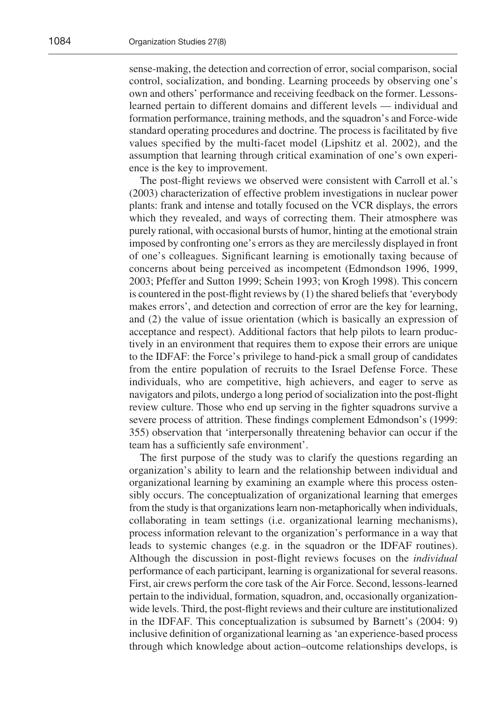sense-making, the detection and correction of error, social comparison, social control, socialization, and bonding. Learning proceeds by observing one's own and others' performance and receiving feedback on the former. Lessonslearned pertain to different domains and different levels — individual and formation performance, training methods, and the squadron's and Force-wide standard operating procedures and doctrine. The process is facilitated by five values specified by the multi-facet model (Lipshitz et al. 2002), and the assumption that learning through critical examination of one's own experience is the key to improvement.

The post-flight reviews we observed were consistent with Carroll et al.'s (2003) characterization of effective problem investigations in nuclear power plants: frank and intense and totally focused on the VCR displays, the errors which they revealed, and ways of correcting them. Their atmosphere was purely rational, with occasional bursts of humor, hinting at the emotional strain imposed by confronting one's errors as they are mercilessly displayed in front of one's colleagues. Significant learning is emotionally taxing because of concerns about being perceived as incompetent (Edmondson 1996, 1999, 2003; Pfeffer and Sutton 1999; Schein 1993; von Krogh 1998). This concern is countered in the post-flight reviews by (1) the shared beliefs that 'everybody makes errors', and detection and correction of error are the key for learning, and (2) the value of issue orientation (which is basically an expression of acceptance and respect). Additional factors that help pilots to learn productively in an environment that requires them to expose their errors are unique to the IDFAF: the Force's privilege to hand-pick a small group of candidates from the entire population of recruits to the Israel Defense Force. These individuals, who are competitive, high achievers, and eager to serve as navigators and pilots, undergo a long period of socialization into the post-flight review culture. Those who end up serving in the fighter squadrons survive a severe process of attrition. These findings complement Edmondson's (1999: 355) observation that 'interpersonally threatening behavior can occur if the team has a sufficiently safe environment'.

The first purpose of the study was to clarify the questions regarding an organization's ability to learn and the relationship between individual and organizational learning by examining an example where this process ostensibly occurs. The conceptualization of organizational learning that emerges from the study is that organizations learn non-metaphorically when individuals, collaborating in team settings (i.e. organizational learning mechanisms), process information relevant to the organization's performance in a way that leads to systemic changes (e.g. in the squadron or the IDFAF routines). Although the discussion in post-flight reviews focuses on the *individual* performance of each participant, learning is organizational for several reasons. First, air crews perform the core task of the Air Force. Second, lessons-learned pertain to the individual, formation, squadron, and, occasionally organizationwide levels. Third, the post-flight reviews and their culture are institutionalized in the IDFAF. This conceptualization is subsumed by Barnett's (2004: 9) inclusive definition of organizational learning as 'an experience-based process through which knowledge about action–outcome relationships develops, is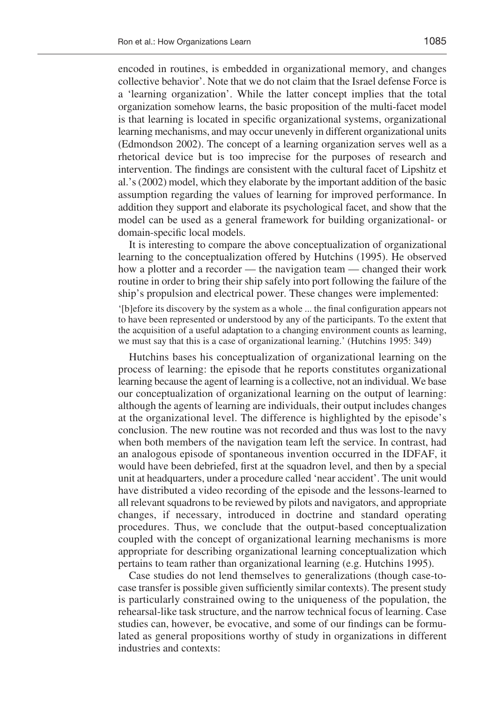encoded in routines, is embedded in organizational memory, and changes collective behavior'. Note that we do not claim that the Israel defense Force is a 'learning organization'. While the latter concept implies that the total organization somehow learns, the basic proposition of the multi-facet model is that learning is located in specific organizational systems, organizational learning mechanisms, and may occur unevenly in different organizational units (Edmondson 2002). The concept of a learning organization serves well as a rhetorical device but is too imprecise for the purposes of research and intervention. The findings are consistent with the cultural facet of Lipshitz et al.'s (2002) model, which they elaborate by the important addition of the basic assumption regarding the values of learning for improved performance. In addition they support and elaborate its psychological facet, and show that the model can be used as a general framework for building organizational- or domain-specific local models.

It is interesting to compare the above conceptualization of organizational learning to the conceptualization offered by Hutchins (1995). He observed how a plotter and a recorder — the navigation team — changed their work routine in order to bring their ship safely into port following the failure of the ship's propulsion and electrical power. These changes were implemented:

'[b]efore its discovery by the system as a whole ... the final configuration appears not to have been represented or understood by any of the participants. To the extent that the acquisition of a useful adaptation to a changing environment counts as learning, we must say that this is a case of organizational learning.' (Hutchins 1995: 349)

Hutchins bases his conceptualization of organizational learning on the process of learning: the episode that he reports constitutes organizational learning because the agent of learning is a collective, not an individual. We base our conceptualization of organizational learning on the output of learning: although the agents of learning are individuals, their output includes changes at the organizational level. The difference is highlighted by the episode's conclusion. The new routine was not recorded and thus was lost to the navy when both members of the navigation team left the service. In contrast, had an analogous episode of spontaneous invention occurred in the IDFAF, it would have been debriefed, first at the squadron level, and then by a special unit at headquarters, under a procedure called 'near accident'. The unit would have distributed a video recording of the episode and the lessons-learned to all relevant squadrons to be reviewed by pilots and navigators, and appropriate changes, if necessary, introduced in doctrine and standard operating procedures. Thus, we conclude that the output-based conceptualization coupled with the concept of organizational learning mechanisms is more appropriate for describing organizational learning conceptualization which pertains to team rather than organizational learning (e.g. Hutchins 1995).

Case studies do not lend themselves to generalizations (though case-tocase transfer is possible given sufficiently similar contexts). The present study is particularly constrained owing to the uniqueness of the population, the rehearsal-like task structure, and the narrow technical focus of learning. Case studies can, however, be evocative, and some of our findings can be formulated as general propositions worthy of study in organizations in different industries and contexts: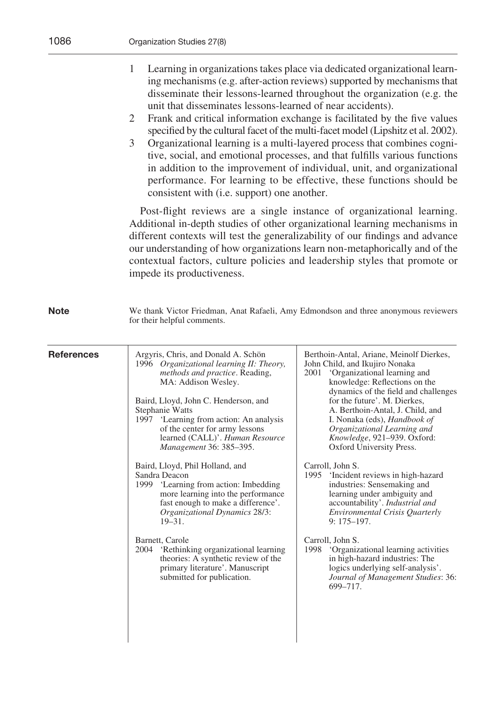|                   | 1<br>unit that disseminates lessons-learned of near accidents).<br>2<br>3<br>consistent with (i.e. support) one another.                                                                                                                                                                                                                                                                                                                                                                                                                                                                                                                                                                                                                       | Learning in organizations takes place via dedicated organizational learn-<br>ing mechanisms (e.g. after-action reviews) supported by mechanisms that<br>disseminate their lessons-learned throughout the organization (e.g. the<br>Frank and critical information exchange is facilitated by the five values<br>specified by the cultural facet of the multi-facet model (Lipshitz et al. 2002).<br>Organizational learning is a multi-layered process that combines cogni-<br>tive, social, and emotional processes, and that fulfills various functions<br>in addition to the improvement of individual, unit, and organizational<br>performance. For learning to be effective, these functions should be                                                                                     |
|-------------------|------------------------------------------------------------------------------------------------------------------------------------------------------------------------------------------------------------------------------------------------------------------------------------------------------------------------------------------------------------------------------------------------------------------------------------------------------------------------------------------------------------------------------------------------------------------------------------------------------------------------------------------------------------------------------------------------------------------------------------------------|-------------------------------------------------------------------------------------------------------------------------------------------------------------------------------------------------------------------------------------------------------------------------------------------------------------------------------------------------------------------------------------------------------------------------------------------------------------------------------------------------------------------------------------------------------------------------------------------------------------------------------------------------------------------------------------------------------------------------------------------------------------------------------------------------|
|                   | Additional in-depth studies of other organizational learning mechanisms in<br>different contexts will test the generalizability of our findings and advance<br>our understanding of how organizations learn non-metaphorically and of the<br>contextual factors, culture policies and leadership styles that promote or<br>impede its productiveness.                                                                                                                                                                                                                                                                                                                                                                                          | Post-flight reviews are a single instance of organizational learning.                                                                                                                                                                                                                                                                                                                                                                                                                                                                                                                                                                                                                                                                                                                           |
| <b>Note</b>       | We thank Victor Friedman, Anat Rafaeli, Amy Edmondson and three anonymous reviewers<br>for their helpful comments.                                                                                                                                                                                                                                                                                                                                                                                                                                                                                                                                                                                                                             |                                                                                                                                                                                                                                                                                                                                                                                                                                                                                                                                                                                                                                                                                                                                                                                                 |
| <b>References</b> | Argyris, Chris, and Donald A. Schön<br>1996 Organizational learning II: Theory,<br>methods and practice. Reading,<br>MA: Addison Wesley.<br>Baird, Lloyd, John C. Henderson, and<br>Stephanie Watts<br>1997 'Learning from action: An analysis<br>of the center for army lessons<br>learned (CALL)'. Human Resource<br>Management 36: 385-395.<br>Baird, Lloyd, Phil Holland, and<br>Sandra Deacon<br>1999 'Learning from action: Imbedding<br>more learning into the performance<br>fast enough to make a difference'.<br>Organizational Dynamics 28/3:<br>$19 - 31$ .<br>Barnett, Carole<br>2004 'Rethinking organizational learning<br>theories: A synthetic review of the<br>primary literature'. Manuscript<br>submitted for publication. | Berthoin-Antal, Ariane, Meinolf Dierkes,<br>John Child, and Ikujiro Nonaka<br>2001 Organizational learning and<br>knowledge: Reflections on the<br>dynamics of the field and challenges<br>for the future'. M. Dierkes,<br>A. Berthoin-Antal, J. Child, and<br>I. Nonaka (eds), Handbook of<br>Organizational Learning and<br>Knowledge, 921-939. Oxford:<br>Oxford University Press.<br>Carroll, John S.<br>1995 'Incident reviews in high-hazard<br>industries: Sensemaking and<br>learning under ambiguity and<br>accountability'. Industrial and<br>Environmental Crisis Quarterly<br>$9:175-197.$<br>Carroll, John S.<br>1998 'Organizational learning activities<br>in high-hazard industries: The<br>logics underlying self-analysis'.<br>Journal of Management Studies: 36:<br>699-717. |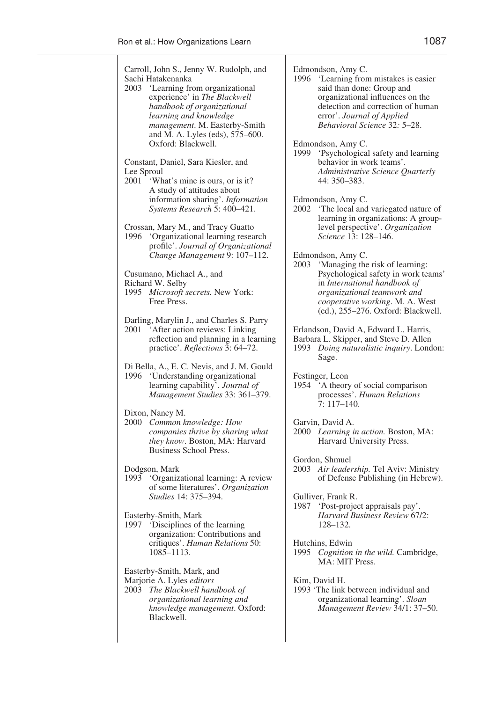| Carroll, John S., Jenny W. Rudolph, and<br>Sachi Hatakenanka<br>2003 'Learning from organizational<br>experience' in The Blackwell<br>handbook of organizational                                                                                                                                                    | Edmondson, Amy C.<br>1996 'Learning from mistakes is easier<br>said than done: Group and<br>organizational influences on the<br>detection and correction of human                                                                                                                                                  |
|---------------------------------------------------------------------------------------------------------------------------------------------------------------------------------------------------------------------------------------------------------------------------------------------------------------------|--------------------------------------------------------------------------------------------------------------------------------------------------------------------------------------------------------------------------------------------------------------------------------------------------------------------|
| learning and knowledge<br>management. M. Easterby-Smith<br>and M. A. Lyles (eds), 575-600.<br>Oxford: Blackwell.<br>Constant, Daniel, Sara Kiesler, and<br>Lee Sproul<br>2001<br>'What's mine is ours, or is it?<br>A study of attitudes about<br>information sharing'. Information<br>Systems Research 5: 400-421. | error'. Journal of Applied<br>Behavioral Science 32: 5-28.<br>Edmondson, Amy C.<br>1999 'Psychological safety and learning<br>behavior in work teams'.<br>Administrative Science Quarterly<br>44: 350-383.<br>Edmondson, Amy C.<br>2002 'The local and variegated nature of<br>learning in organizations: A group- |
| Crossan, Mary M., and Tracy Guatto<br>1996 'Organizational learning research<br>profile'. Journal of Organizational<br>Change Management 9: 107-112.                                                                                                                                                                | level perspective'. Organization<br>Science 13: 128-146.<br>Edmondson, Amy C.<br>2003 'Managing the risk of learning:                                                                                                                                                                                              |
| Cusumano, Michael A., and<br>Richard W. Selby<br>1995 Microsoft secrets. New York:<br>Free Press.                                                                                                                                                                                                                   | Psychological safety in work teams'<br>in International handbook of<br>organizational teamwork and<br>cooperative working. M. A. West<br>(ed.), 255-276. Oxford: Blackwell.                                                                                                                                        |
| Darling, Marylin J., and Charles S. Parry<br>'After action reviews: Linking<br>2001<br>reflection and planning in a learning<br>practice'. Reflections 3: 64-72.                                                                                                                                                    | Erlandson, David A, Edward L. Harris,<br>Barbara L. Skipper, and Steve D. Allen<br>1993 Doing naturalistic inquiry. London:<br>Sage.                                                                                                                                                                               |
| Di Bella, A., E. C. Nevis, and J. M. Gould<br>'Understanding organizational<br>1996<br>learning capability'. Journal of<br>Management Studies 33: 361-379.                                                                                                                                                          | Festinger, Leon<br>1954 'A theory of social comparison<br>processes'. Human Relations<br>$7:117 - 140.$                                                                                                                                                                                                            |
| Dixon, Nancy M.<br>2000 Common knowledge: How<br>companies thrive by sharing what<br>they know. Boston, MA: Harvard<br>Business School Press.                                                                                                                                                                       | Garvin, David A.<br>2000 Learning in action. Boston, MA:<br>Harvard University Press.                                                                                                                                                                                                                              |
| Dodgson, Mark<br>1993 'Organizational learning: A review<br>of some literatures'. Organization<br>Studies 14: 375-394.                                                                                                                                                                                              | Gordon, Shmuel<br>2003 Air leadership. Tel Aviv: Ministry<br>of Defense Publishing (in Hebrew).<br>Gulliver, Frank R.<br>1987 'Post-project appraisals pay'.                                                                                                                                                       |
| Easterby-Smith, Mark<br>'Disciplines of the learning<br>1997<br>organization: Contributions and<br>critiques'. Human Relations 50:<br>1085-1113.                                                                                                                                                                    | Harvard Business Review 67/2:<br>128–132.<br>Hutchins, Edwin<br>1995<br>Cognition in the wild. Cambridge,                                                                                                                                                                                                          |
| Easterby-Smith, Mark, and<br>Marjorie A. Lyles editors<br>The Blackwell handbook of<br>2003<br>organizational learning and<br>knowledge management. Oxford:<br>Blackwell.                                                                                                                                           | MA: MIT Press.<br>Kim, David H.<br>1993 'The link between individual and<br>organizational learning'. Sloan<br>Management Review 34/1: 37-50.                                                                                                                                                                      |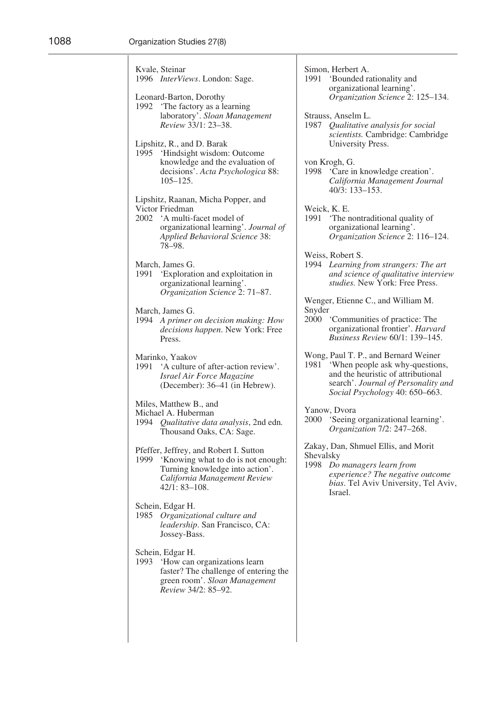Simon, Herbert A. 1991 'Bounded rationality and organizational learning'. *Organization Science* 2: 125–134. Strauss, Anselm L. 1987 *Qualitative analysis for social scientists.* Cambridge: Cambridge University Press. von Krogh, G. 1998 'Care in knowledge creation'. *California Management Journal* 40/3: 133–153. Weick, K. E. 1991 'The nontraditional quality of organizational learning'. *Organization Science* 2: 116–124. Weiss, Robert S. 1994 *Learning from strangers: The art and science of qualitative interview studies.* New York: Free Press. Wenger, Etienne C., and William M. Snyder 2000 'Communities of practice: The organizational frontier'. *Harvard Business Review* 60/1: 139–145. Wong, Paul T. P., and Bernard Weiner 1981 'When people ask why-questions, and the heuristic of attributional search'. *Journal of Personality and Social Psychology* 40: 650–663. Yanow, Dvora 2000 'Seeing organizational learning'. *Organization* 7/2: 247–268. Zakay, Dan, Shmuel Ellis, and Morit Shevalsky 1998 *Do managers learn from experience? The negative outcome bias*. Tel Aviv University, Tel Aviv, Israel.